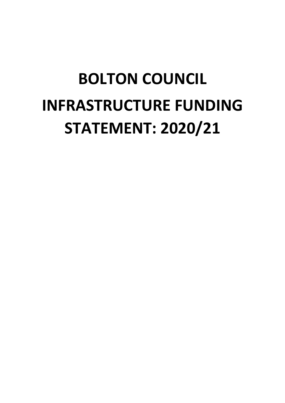# **BOLTON COUNCIL INFRASTRUCTURE FUNDING STATEMENT: 2020/21**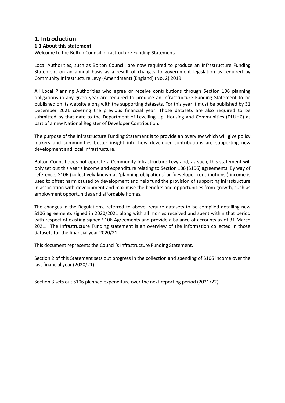# **1. Introduction**

## **1.1 About this statement**

Welcome to the Bolton Council Infrastructure Funding Statement**.** 

Local Authorities, such as Bolton Council, are now required to produce an Infrastructure Funding Statement on an annual basis as a result of changes to government legislation as required by Community Infrastructure Levy (Amendment) (England) (No. 2) 2019.

All Local Planning Authorities who agree or receive contributions through Section 106 planning obligations in any given year are required to produce an Infrastructure Funding Statement to be published on its website along with the supporting datasets. For this year it must be published by 31 December 2021 covering the previous financial year. Those datasets are also required to be submitted by that date to the Department of Levelling Up, Housing and Communities (DLUHC) as part of a new National Register of Developer Contribution.

The purpose of the Infrastructure Funding Statement is to provide an overview which will give policy makers and communities better insight into how developer contributions are supporting new development and local infrastructure.

Bolton Council does not operate a Community Infrastructure Levy and, as such, this statement will only set out this year's income and expenditure relating to Section 106 (S106) agreements. By way of reference, S106 (collectively known as 'planning obligations' or 'developer contributions') income is used to offset harm caused by development and help fund the provision of supporting infrastructure in association with development and maximise the benefits and opportunities from growth, such as employment opportunities and affordable homes.

The changes in the Regulations, referred to above, require datasets to be compiled detailing new S106 agreements signed in 2020/2021 along with all monies received and spent within that period with respect of existing signed S106 Agreements and provide a balance of accounts as of 31 March 2021. The Infrastructure Funding statement is an overview of the information collected in those datasets for the financial year 2020/21.

This document represents the Council's Infrastructure Funding Statement.

Section 2 of this Statement sets out progress in the collection and spending of S106 income over the last financial year (2020/21).

Section 3 sets out S106 planned expenditure over the next reporting period (2021/22).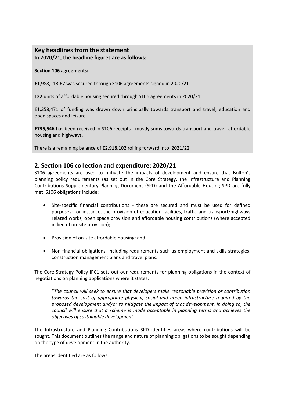# **Key headlines from the statement In 2020/21, the headline figures are as follows:**

## **Section 106 agreements:**

**£**1,988,113.67 was secured through S106 agreements signed in 2020/21

**122** units of affordable housing secured through S106 agreements in 2020/21

£1,358,471 of funding was drawn down principally towards transport and travel, education and open spaces and leisure.

**£735,546** has been received in S106 receipts - mostly sums towards transport and travel, affordable housing and highways.

There is a remaining balance of £2,918,102 rolling forward into 2021/22.

# **2. Section 106 collection and expenditure: 2020/21**

S106 agreements are used to mitigate the impacts of development and ensure that Bolton's planning policy requirements (as set out in the Core Strategy, the Infrastructure and Planning Contributions Supplementary Planning Document (SPD) and the Affordable Housing SPD are fully met. S106 obligations include:

- Site-specific financial contributions these are secured and must be used for defined purposes; for instance, the provision of education facilities, traffic and transport/highways related works, open space provision and affordable housing contributions (where accepted in lieu of on-site provision);
- Provision of on-site affordable housing; and
- Non-financial obligations, including requirements such as employment and skills strategies, construction management plans and travel plans.

The Core Strategy Policy IPC1 sets out our requirements for planning obligations in the context of negotiations on planning applications where it states:

"*The council will seek to ensure that developers make reasonable provision or contribution towards the cost of appropriate physical, social and green infrastructure required by the proposed development and/or to mitigate the impact of that development. In doing so, the council will ensure that a scheme is made acceptable in planning terms and achieves the objectives of sustainable development*

The Infrastructure and Planning Contributions SPD identifies areas where contributions will be sought. This document outlines the range and nature of planning obligations to be sought depending on the type of development in the authority.

The areas identified are as follows: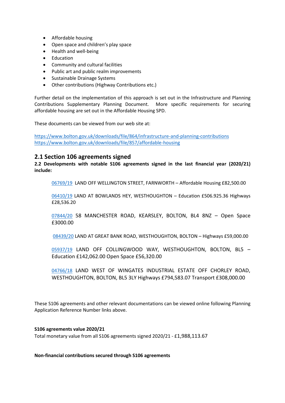- Affordable housing
- Open space and children's play space
- Health and well-being
- Education
- Community and cultural facilities
- Public art and public realm improvements
- Sustainable Drainage Systems
- Other contributions (Highway Contributions etc.)

Further detail on the implementation of this approach is set out in the Infrastructure and Planning Contributions Supplementary Planning Document. More specific requirements for securing affordable housing are set out in the Affordable Housing SPD.

These documents can be viewed from our web site at:

<https://www.bolton.gov.uk/downloads/file/864/infrastructure-and-planning-contributions> <https://www.bolton.gov.uk/downloads/file/857/affordable-housing>

# **2.1 Section 106 agreements signed**

**2.2 Developments with notable S106 agreements signed in the last financial year (2020/21) include:**

[06769/19](https://www.planningpa.bolton.gov.uk/online-applications-17/applicationDetails.do?activeTab=documents&keyVal=DCAPR_98430) LAND OFF WELLINGTON STREET, FARNWORTH – Affordable Housing £82,500.00

[06410/19](https://www.planningpa.bolton.gov.uk/online-applications-17/applicationDetails.do?activeTab=documents&keyVal=DCAPR_98066) LAND AT BOWLANDS HEY, WESTHOUGHTON – Education £506.925.36 Highways £28,536.20

[07844/20](https://www.planningpa.bolton.gov.uk/online-applications-17/applicationDetails.do?activeTab=documents&keyVal=DCAPR_99516) 58 MANCHESTER ROAD, KEARSLEY, BOLTON, BL4 8NZ – Open Space £3000.00

[08439/20](https://www.planningpa.bolton.gov.uk/online-applications-17/applicationDetails.do?activeTab=documents&keyVal=DCAPR_100114) LAND AT GREAT BANK ROAD, WESTHOUGHTON, BOLTON – Highways £59,000.00

[05937/19](https://www.planningpa.bolton.gov.uk/online-applications-17/search.do?action=simple&searchType=Application) LAND OFF COLLINGWOOD WAY, WESTHOUGHTON, BOLTON, BL5 -Education £142,062.00 Open Space £56,320.00

[04766/18](https://www.planningpa.bolton.gov.uk/online-applications-17/applicationDetails.do?activeTab=documents&keyVal=DCAPR_96416) LAND WEST OF WINGATES INDUSTRIAL ESTATE OFF CHORLEY ROAD, WESTHOUGHTON, BOLTON, BL5 3LY Highways £794,583.07 Transport £308,000.00

These S106 agreements and other relevant documentations can be viewed online following Planning Application Reference Number links above.

**S106 agreements value 2020/21** Total monetary value from all S106 agreements signed 2020/21 - £1,988,113.67

**Non-financial contributions secured through S106 agreements**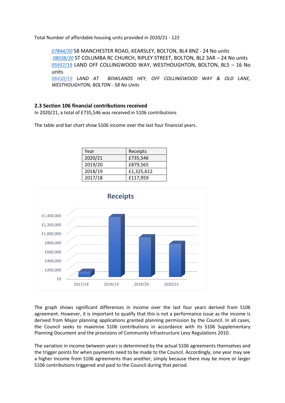Total Number of affordable housing units provided in 2020/21 - 122

*[07844/20](https://www.planningpa.bolton.gov.uk/online-applications-17/applicationDetails.do?activeTab=documents&keyVal=DCAPR_99516)* 58 MANCHESTER ROAD, KEARSLEY, BOLTON, BL4 8NZ - 24 No units *[08038/20](https://www.planningpa.bolton.gov.uk/online-applications-17/applicationDetails.do?activeTab=documents&keyVal=DCAPR_99712)* ST COLUMBA RC CHURCH, RIPLEY STREET, BOLTON, BL2 3AR – 24 No units [05937/19](https://www.planningpa.bolton.gov.uk/online-applications-17/search.do?action=simple&searchType=Application) LAND OFF COLLINGWOOD WAY, WESTHOUGHTON, BOLTON, BL5 – 16 No units *[06410/19](https://www.planningpa.bolton.gov.uk/online-applications-17/applicationDetails.do?activeTab=documents&keyVal=DCAPR_98066) LAND AT BOWLANDS HEY, OFF COLLINGWOOD WAY & OLD LANE,* 

*WESTHOUGHTON, BOLTON - 58 No Units*

## **2.3 Section 106 financial contributions received**

In 2020/21, a total of £735,546 was received in S106 contributions

The table and bar chart show S106 income over the last four financial years.

| Year    | Receipts   |
|---------|------------|
| 2020/21 | £735,546   |
| 2019/20 | £879,565   |
| 2018/19 | £1,325,612 |
| 2017/18 | £117,959   |



The graph shows significant differences in income over the last four years derived from S106 agreement. However, it is important to qualify that this is not a performance issue as the income is derived from Major planning applications granted planning permission by the Council. In all cases, the Council seeks to maximise S106 contributions in accordance with its S106 Supplementary Planning Document and the provisions of Community Infrastructure Levy Regulations 2010.

The variation in income between years is determined by the actual S106 agreements themselves and the trigger points for when payments need to be made to the Council. Accordingly, one year may see a higher Income from S106 agreements than another, simply because there may be more or larger S106 contributions triggered and paid to the Council during that period.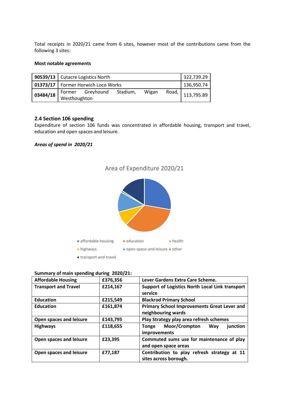Total receipts in 2020/21 came from 6 sites, however most of the contributions came from the following 3 sites:

#### **Most notable agreements**

|          | 90539/13   Cutacre Logistics North   |                  |          |            | 322,739.29 |            |
|----------|--------------------------------------|------------------|----------|------------|------------|------------|
|          | 01373/17   Former Horwich Loco Works |                  |          | 136,950.74 |            |            |
| 03484/18 | Westhoughton                         | Former Greyhound | Stadium, | Wigan      | Road,      | 113,795.89 |

## **2.4 Section 106 spending**

Expenditure of section 106 funds was concentrated in affordable housing, transport and travel, education and open spaces and leisure.

## *Areas of spend in 2020/21*



■ transport-and-travel

## **Summary of main spending during 2020/21:**

| <b>Affordable Housing</b>   | £376,356 | Lever Gardens Extra Care Scheme.                                     |  |
|-----------------------------|----------|----------------------------------------------------------------------|--|
| <b>Transport and Travel</b> | £214,167 | Support of Logistics North Local Link transport<br>service           |  |
| <b>Education</b>            | £215,549 | <b>Blackrod Primary School</b>                                       |  |
| <b>Education</b>            | £161,874 | Primary School Improvements Great Lever and<br>neighbouring wards    |  |
| Open spaces and leisure     | £143,795 | Play Strategy play area refresh schemes                              |  |
| <b>Highways</b>             | £118,655 | Moor/Crompton<br>Way<br>junction<br><b>Tonge</b><br>improvements     |  |
| Open spaces and leisure     | £23,395  | Commuted sums use for maintenance of play<br>and open space areas    |  |
| Open spaces and leisure     | £77,187  | Contribution to play refresh strategy at 11<br>sites across borough. |  |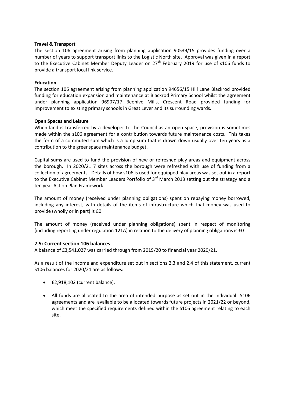#### **Travel & Transport**

The section 106 agreement arising from planning application 90539/15 provides funding over a number of years to support transport links to the Logistic North site. Approval was given in a report to the Executive Cabinet Member Deputy Leader on 27<sup>th</sup> February 2019 for use of s106 funds to provide a transport local link service.

#### **Education**

The section 106 agreement arising from planning application 94656/15 Hill Lane Blackrod provided funding for education expansion and maintenance at Blackrod Primary School whilst the agreement under planning application 96907/17 Beehive Mills, Crescent Road provided funding for improvement to existing primary schools in Great Lever and its surrounding wards.

#### **Open Spaces and Leisure**

When land is transferred by a developer to the Council as an open space, provision is sometimes made within the s106 agreement for a contribution towards future maintenance costs. This takes the form of a commuted sum which is a lump sum that is drawn down usually over ten years as a contribution to the greenspace maintenance budget.

Capital sums are used to fund the provision of new or refreshed play areas and equipment across the borough. In 2020/21 7 sites across the borough were refreshed with use of funding from a collection of agreements. Details of how s106 is used for equipped play areas was set out in a report to the Executive Cabinet Member Leaders Portfolio of 3<sup>rd</sup> March 2013 setting out the strategy and a ten year Action Plan Framework.

The amount of money (received under planning obligations) spent on repaying money borrowed, including any interest, with details of the items of infrastructure which that money was used to provide (wholly or in part) is £0

The amount of money (received under planning obligations) spent in respect of monitoring (including reporting under regulation 121A) in relation to the delivery of planning obligations is £0

#### **2.5: Current section 106 balances**

A balance of £3,541,027 was carried through from 2019/20 to financial year 2020/21.

As a result of the income and expenditure set out in sections 2.3 and 2.4 of this statement, current S106 balances for 2020/21 are as follows:

- £2,918,102 (current balance).
- All funds are allocated to the area of intended purpose as set out in the individual S106 agreements and are available to be allocated towards future projects in 2021/22 or beyond, which meet the specified requirements defined within the S106 agreement relating to each site.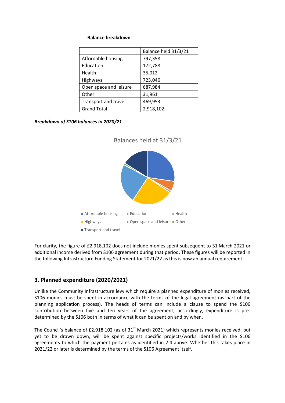#### **Balance breakdown**

|                        | Balance held 31/3/21 |
|------------------------|----------------------|
| Affordable housing     | 797,358              |
| Education              | 172,788              |
| Health                 | 35,012               |
| Highways               | 723,046              |
| Open space and leisure | 687,984              |
| Other                  | 31,961               |
| Transport and travel   | 469,953              |
| <b>Grand Total</b>     | 2,918,102            |

*Breakdown of S106 balances in 2020/21*



For clarity, the figure of £2,918,102 does not include monies spent subsequent to 31 March 2021 or additional income derived from S106 agreement during that period. These figures will be reported in the following Infrastructure Funding Statement for 2021/22 as this is now an annual requirement.

# **3. Planned expenditure (2020/2021)**

Unlike the Community Infrastructure levy which require a planned expenditure of monies received, S106 monies must be spent in accordance with the terms of the legal agreement (as part of the planning application process). The heads of terms can include a clause to spend the S106 contribution between five and ten years of the agreement; accordingly, expenditure is predetermined by the S106 both in terms of what it can be spent on and by when.

The Council's balance of £2,918,102 (as of 31<sup>st</sup> March 2021) which represents monies received, but yet to be drawn down, will be spent against specific projects/works identified in the S106 agreements to which the payment pertains as identified in 2.4 above. Whether this takes place in 2021/22 or later is determined by the terms of the S106 Agreement itself.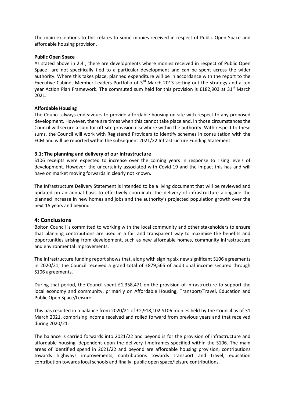The main exceptions to this relates to some monies received in respect of Public Open Space and affordable housing provision.

#### **Public Open Space**

As stated above in 2.4 , there are developments where monies received in respect of Public Open Space are not specifically tied to a particular development and can be spent across the wider authority. Where this takes place, planned expenditure will be in accordance with the report to the Executive Cabinet Member Leaders Portfolio of  $3<sup>rd</sup>$  March 2013 setting out the strategy and a ten year Action Plan Framework. The commuted sum held for this provision is £182,903 at 31<sup>st</sup> March 2021.

#### **Affordable Housing**

The Council always endeavours to provide affordable housing on-site with respect to any proposed development. However, there are times when this cannot take place and, in those circumstances the Council will secure a sum for off-site provision elsewhere within the authority. With respect to these sums, the Council will work with Registered Providers to identify schemes in consultation with the ECM and will be reported within the subsequent 2021/22 Infrastructure Funding Statement.

#### **3.1: The planning and delivery of our infrastructure**

S106 receipts were expected to increase over the coming years in response to rising levels of development. However, the uncertainty associated with Covid-19 and the impact this has and will have on market moving forwards in clearly not known.

The Infrastructure Delivery Statement is intended to be a living document that will be reviewed and updated on an annual basis to effectively coordinate the delivery of infrastructure alongside the planned increase in new homes and jobs and the authority's projected population growth over the next 15 years and beyond.

#### **4: Conclusions**

Bolton Council is committed to working with the local community and other stakeholders to ensure that planning contributions are used in a fair and transparent way to maximise the benefits and opportunities arising from development, such as new affordable homes, community infrastructure and environmental improvements.

The Infrastructure funding report shows that, along with signing six new significant S106 agreements in 2020/21, the Council received a grand total of £879,565 of additional income secured through S106 agreements.

During that period, the Council spent £1,358,471 on the provision of infrastructure to support the local economy and community, primarily on Affordable Housing, Transport/Travel, Education and Public Open Space/Leisure.

This has resulted in a balance from 2020/21 of £2,918,102 S106 monies held by the Council as of 31 March 2021, comprising income received and rolled forward from previous years and that received during 2020/21.

The balance is carried forwards into 2021/22 and beyond is for the provision of infrastructure and affordable housing, dependent upon the delivery timeframes specified within the S106. The main areas of identified spend in 2021/22 and beyond are affordable housing provision, contributions towards highways improvements, contributions towards transport and travel, education contribution towards local schools and finally, public open space/leisure contributions.